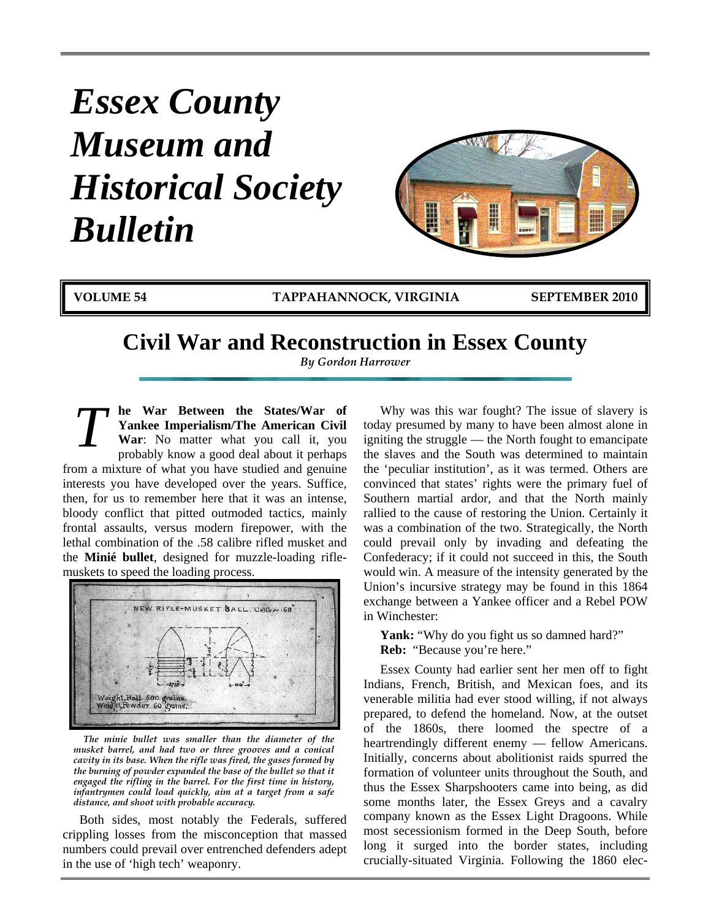# *Essex County Museum and Historical Society Bulletin*



**VOLUME 54 TAPPAHANNOCK, VIRGINIA SEPTEMBER 2010**

## **Civil War and Reconstruction in Essex County**

*By Gordon Harrower* 

**he War Between the States/War of Yankee Imperialism/The American Civil War**: No matter what you call it, you probably know a good deal about it perhaps from a mixture of what you have studied and genuine interests you have developed over the years. Suffice, then, for us to remember here that it was an intense, bloody conflict that pitted outmoded tactics, mainly frontal assaults, versus modern firepower, with the lethal combination of the .58 calibre rifled musket and the **Minié bullet**, designed for muzzle-loading riflemuskets to speed the loading process. *T*



*The minie bullet was smaller than the diameter of the musket barrel, and had two or three grooves and a conical cavity in its base. When the rifle was fired, the gases formed by the burning of powder expanded the base of the bullet so that it engaged the rifling in the barrel. For the first time in history, infantrymen could load quickly, aim at a target from a safe distance, and shoot with probable accuracy.*

Both sides, most notably the Federals, suffered crippling losses from the misconception that massed numbers could prevail over entrenched defenders adept in the use of 'high tech' weaponry.

Why was this war fought? The issue of slavery is today presumed by many to have been almost alone in igniting the struggle — the North fought to emancipate the slaves and the South was determined to maintain the 'peculiar institution', as it was termed. Others are convinced that states' rights were the primary fuel of Southern martial ardor, and that the North mainly rallied to the cause of restoring the Union. Certainly it was a combination of the two. Strategically, the North could prevail only by invading and defeating the Confederacy; if it could not succeed in this, the South would win. A measure of the intensity generated by the Union's incursive strategy may be found in this 1864 exchange between a Yankee officer and a Rebel POW in Winchester:

Yank: "Why do you fight us so damned hard?" **Reb:** "Because you're here."

Essex County had earlier sent her men off to fight Indians, French, British, and Mexican foes, and its venerable militia had ever stood willing, if not always prepared, to defend the homeland. Now, at the outset of the 1860s, there loomed the spectre of a heartrendingly different enemy — fellow Americans. Initially, concerns about abolitionist raids spurred the formation of volunteer units throughout the South, and thus the Essex Sharpshooters came into being, as did some months later, the Essex Greys and a cavalry company known as the Essex Light Dragoons. While most secessionism formed in the Deep South, before long it surged into the border states, including crucially-situated Virginia. Following the 1860 elec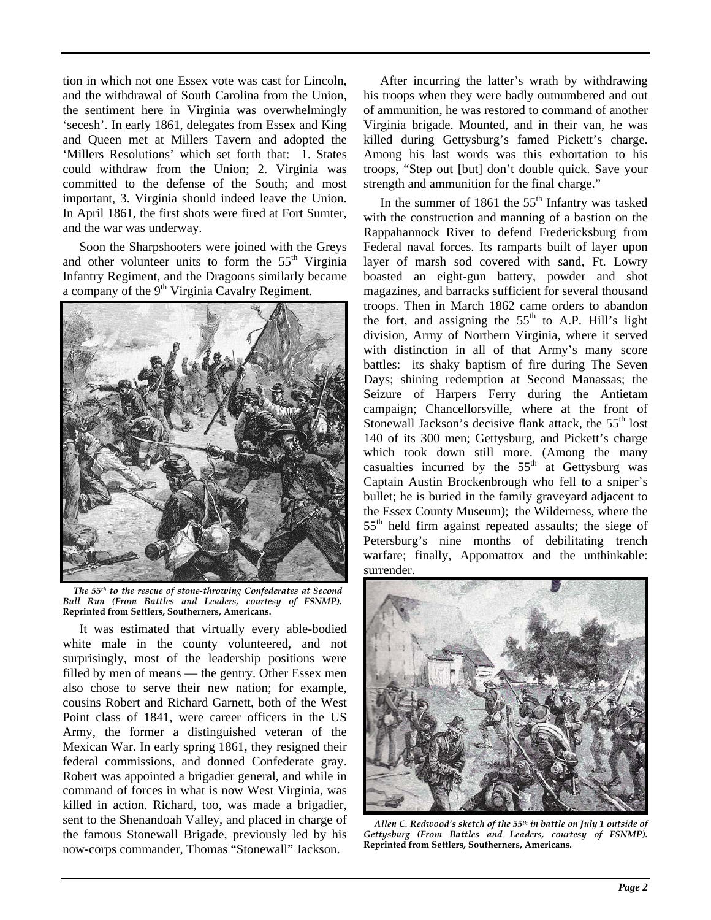tion in which not one Essex vote was cast for Lincoln, and the withdrawal of South Carolina from the Union, the sentiment here in Virginia was overwhelmingly 'secesh'. In early 1861, delegates from Essex and King and Queen met at Millers Tavern and adopted the 'Millers Resolutions' which set forth that: 1. States could withdraw from the Union; 2. Virginia was committed to the defense of the South; and most important, 3. Virginia should indeed leave the Union. In April 1861, the first shots were fired at Fort Sumter, and the war was underway.

Soon the Sharpshooters were joined with the Greys and other volunteer units to form the  $55<sup>th</sup>$  Virginia Infantry Regiment, and the Dragoons similarly became a company of the  $9<sup>th</sup> Virginia Cavalry Regiment.$ 



*The 55th to the rescue of stone-throwing Confederates at Second Bull Run (From Battles and Leaders, courtesy of FSNMP).* **Reprinted from Settlers, Southerners, Americans.** 

It was estimated that virtually every able-bodied white male in the county volunteered, and not surprisingly, most of the leadership positions were filled by men of means — the gentry. Other Essex men also chose to serve their new nation; for example, cousins Robert and Richard Garnett, both of the West Point class of 1841, were career officers in the US Army, the former a distinguished veteran of the Mexican War. In early spring 1861, they resigned their federal commissions, and donned Confederate gray. Robert was appointed a brigadier general, and while in command of forces in what is now West Virginia, was killed in action. Richard, too, was made a brigadier, sent to the Shenandoah Valley, and placed in charge of the famous Stonewall Brigade, previously led by his now-corps commander, Thomas "Stonewall" Jackson.

After incurring the latter's wrath by withdrawing his troops when they were badly outnumbered and out of ammunition, he was restored to command of another Virginia brigade. Mounted, and in their van, he was killed during Gettysburg's famed Pickett's charge. Among his last words was this exhortation to his troops, "Step out [but] don't double quick. Save your strength and ammunition for the final charge."

In the summer of 1861 the  $55<sup>th</sup>$  Infantry was tasked with the construction and manning of a bastion on the Rappahannock River to defend Fredericksburg from Federal naval forces. Its ramparts built of layer upon layer of marsh sod covered with sand, Ft. Lowry boasted an eight-gun battery, powder and shot magazines, and barracks sufficient for several thousand troops. Then in March 1862 came orders to abandon the fort, and assigning the  $55<sup>th</sup>$  to A.P. Hill's light division, Army of Northern Virginia, where it served with distinction in all of that Army's many score battles: its shaky baptism of fire during The Seven Days; shining redemption at Second Manassas; the Seizure of Harpers Ferry during the Antietam campaign; Chancellorsville, where at the front of Stonewall Jackson's decisive flank attack, the  $55<sup>th</sup>$  lost 140 of its 300 men; Gettysburg, and Pickett's charge which took down still more. (Among the many casualties incurred by the  $55<sup>th</sup>$  at Gettysburg was Captain Austin Brockenbrough who fell to a sniper's bullet; he is buried in the family graveyard adjacent to the Essex County Museum); the Wilderness, where the 55th held firm against repeated assaults; the siege of Petersburg's nine months of debilitating trench warfare; finally, Appomattox and the unthinkable: surrender.



*Allen C. Redwood's sketch of the 55th in battle on July 1 outside of Gettysburg (From Battles and Leaders, courtesy of FSNMP).* **Reprinted from Settlers, Southerners, Americans***.*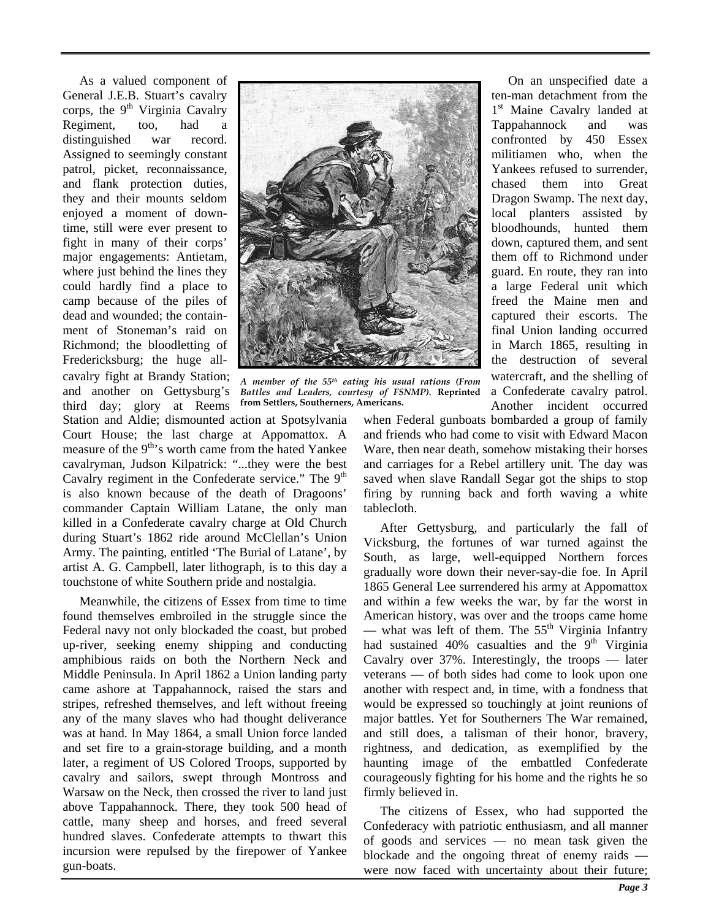As a valued component of General J.E.B. Stuart's cavalry corps, the  $9<sup>th</sup>$  Virginia Cavalry Regiment, too, had a distinguished war record. Assigned to seemingly constant patrol, picket, reconnaissance, and flank protection duties, they and their mounts seldom enjoyed a moment of downtime, still were ever present to fight in many of their corps' major engagements: Antietam, where just behind the lines they could hardly find a place to camp because of the piles of dead and wounded; the containment of Stoneman's raid on Richmond; the bloodletting of Fredericksburg; the huge allcavalry fight at Brandy Station; and another on Gettysburg's third day; glory at Reems



*A member of the 55th eating his usual rations (From Battles and Leaders, courtesy of FSNMP).* **Reprinted from Settlers, Southerners, Americans.**

Station and Aldie; dismounted action at Spotsylvania Court House; the last charge at Appomattox. A measure of the  $9<sup>th</sup>$ 's worth came from the hated Yankee cavalryman, Judson Kilpatrick: "...they were the best Cavalry regiment in the Confederate service." The 9<sup>th</sup> is also known because of the death of Dragoons' commander Captain William Latane, the only man killed in a Confederate cavalry charge at Old Church during Stuart's 1862 ride around McClellan's Union Army. The painting, entitled 'The Burial of Latane', by artist A. G. Campbell, later lithograph, is to this day a touchstone of white Southern pride and nostalgia.

Meanwhile, the citizens of Essex from time to time found themselves embroiled in the struggle since the Federal navy not only blockaded the coast, but probed up-river, seeking enemy shipping and conducting amphibious raids on both the Northern Neck and Middle Peninsula. In April 1862 a Union landing party came ashore at Tappahannock, raised the stars and stripes, refreshed themselves, and left without freeing any of the many slaves who had thought deliverance was at hand. In May 1864, a small Union force landed and set fire to a grain-storage building, and a month later, a regiment of US Colored Troops, supported by cavalry and sailors, swept through Montross and Warsaw on the Neck, then crossed the river to land just above Tappahannock. There, they took 500 head of cattle, many sheep and horses, and freed several hundred slaves. Confederate attempts to thwart this incursion were repulsed by the firepower of Yankee gun-boats.

On an unspecified date a ten-man detachment from the 1<sup>st</sup> Maine Cavalry landed at Tappahannock and was confronted by 450 Essex militiamen who, when the Yankees refused to surrender, chased them into Great Dragon Swamp. The next day, local planters assisted by bloodhounds, hunted them down, captured them, and sent them off to Richmond under guard. En route, they ran into a large Federal unit which freed the Maine men and captured their escorts. The final Union landing occurred in March 1865, resulting in the destruction of several watercraft, and the shelling of a Confederate cavalry patrol. Another incident occurred

when Federal gunboats bombarded a group of family and friends who had come to visit with Edward Macon Ware, then near death, somehow mistaking their horses and carriages for a Rebel artillery unit. The day was saved when slave Randall Segar got the ships to stop firing by running back and forth waving a white tablecloth.

After Gettysburg, and particularly the fall of Vicksburg, the fortunes of war turned against the South, as large, well-equipped Northern forces gradually wore down their never-say-die foe. In April 1865 General Lee surrendered his army at Appomattox and within a few weeks the war, by far the worst in American history, was over and the troops came home — what was left of them. The  $55<sup>th</sup>$  Virginia Infantry had sustained  $40\%$  casualties and the  $9<sup>th</sup>$  Virginia Cavalry over 37%. Interestingly, the troops — later veterans — of both sides had come to look upon one another with respect and, in time, with a fondness that would be expressed so touchingly at joint reunions of major battles. Yet for Southerners The War remained, and still does, a talisman of their honor, bravery, rightness, and dedication, as exemplified by the haunting image of the embattled Confederate courageously fighting for his home and the rights he so firmly believed in.

The citizens of Essex, who had supported the Confederacy with patriotic enthusiasm, and all manner of goods and services — no mean task given the blockade and the ongoing threat of enemy raids were now faced with uncertainty about their future;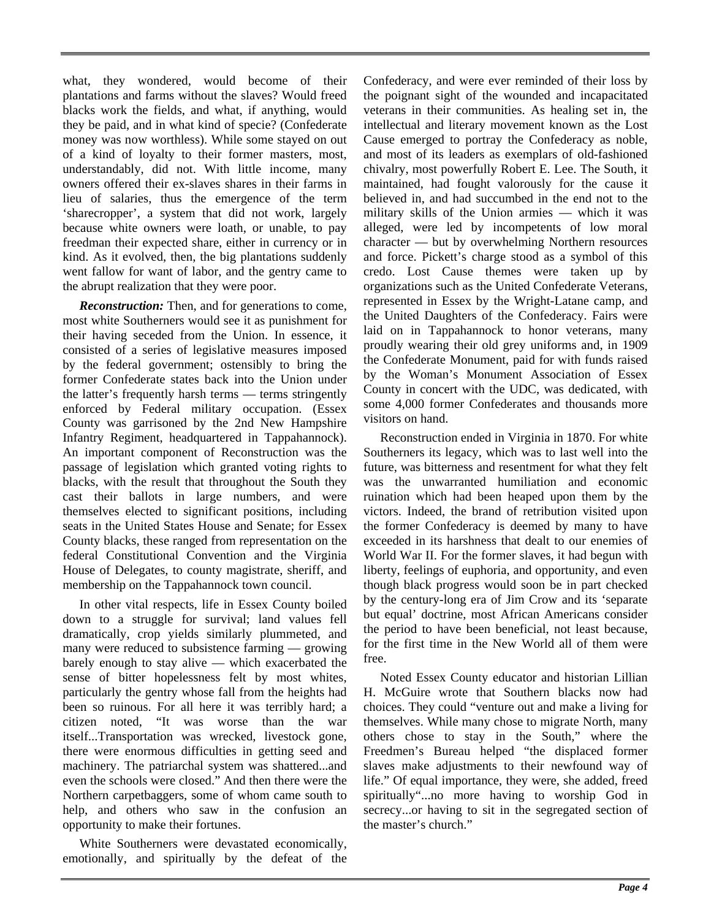what, they wondered, would become of their plantations and farms without the slaves? Would freed blacks work the fields, and what, if anything, would they be paid, and in what kind of specie? (Confederate money was now worthless). While some stayed on out of a kind of loyalty to their former masters, most, understandably, did not. With little income, many owners offered their ex-slaves shares in their farms in lieu of salaries, thus the emergence of the term 'sharecropper', a system that did not work, largely because white owners were loath, or unable, to pay freedman their expected share, either in currency or in kind. As it evolved, then, the big plantations suddenly went fallow for want of labor, and the gentry came to the abrupt realization that they were poor.

*Reconstruction:* Then, and for generations to come, most white Southerners would see it as punishment for their having seceded from the Union. In essence, it consisted of a series of legislative measures imposed by the federal government; ostensibly to bring the former Confederate states back into the Union under the latter's frequently harsh terms — terms stringently enforced by Federal military occupation. (Essex County was garrisoned by the 2nd New Hampshire Infantry Regiment, headquartered in Tappahannock). An important component of Reconstruction was the passage of legislation which granted voting rights to blacks, with the result that throughout the South they cast their ballots in large numbers, and were themselves elected to significant positions, including seats in the United States House and Senate; for Essex County blacks, these ranged from representation on the federal Constitutional Convention and the Virginia House of Delegates, to county magistrate, sheriff, and membership on the Tappahannock town council.

In other vital respects, life in Essex County boiled down to a struggle for survival; land values fell dramatically, crop yields similarly plummeted, and many were reduced to subsistence farming — growing barely enough to stay alive — which exacerbated the sense of bitter hopelessness felt by most whites, particularly the gentry whose fall from the heights had been so ruinous. For all here it was terribly hard; a citizen noted, "It was worse than the war itself...Transportation was wrecked, livestock gone, there were enormous difficulties in getting seed and machinery. The patriarchal system was shattered...and even the schools were closed." And then there were the Northern carpetbaggers, some of whom came south to help, and others who saw in the confusion an opportunity to make their fortunes.

White Southerners were devastated economically, emotionally, and spiritually by the defeat of the Confederacy, and were ever reminded of their loss by the poignant sight of the wounded and incapacitated veterans in their communities. As healing set in, the intellectual and literary movement known as the Lost Cause emerged to portray the Confederacy as noble, and most of its leaders as exemplars of old-fashioned chivalry, most powerfully Robert E. Lee. The South, it maintained, had fought valorously for the cause it believed in, and had succumbed in the end not to the military skills of the Union armies — which it was alleged, were led by incompetents of low moral character — but by overwhelming Northern resources and force. Pickett's charge stood as a symbol of this credo. Lost Cause themes were taken up by organizations such as the United Confederate Veterans, represented in Essex by the Wright-Latane camp, and the United Daughters of the Confederacy. Fairs were laid on in Tappahannock to honor veterans, many proudly wearing their old grey uniforms and, in 1909 the Confederate Monument, paid for with funds raised by the Woman's Monument Association of Essex County in concert with the UDC, was dedicated, with some 4,000 former Confederates and thousands more visitors on hand.

Reconstruction ended in Virginia in 1870. For white Southerners its legacy, which was to last well into the future, was bitterness and resentment for what they felt was the unwarranted humiliation and economic ruination which had been heaped upon them by the victors. Indeed, the brand of retribution visited upon the former Confederacy is deemed by many to have exceeded in its harshness that dealt to our enemies of World War II. For the former slaves, it had begun with liberty, feelings of euphoria, and opportunity, and even though black progress would soon be in part checked by the century-long era of Jim Crow and its 'separate but equal' doctrine, most African Americans consider the period to have been beneficial, not least because, for the first time in the New World all of them were free.

Noted Essex County educator and historian Lillian H. McGuire wrote that Southern blacks now had choices. They could "venture out and make a living for themselves. While many chose to migrate North, many others chose to stay in the South," where the Freedmen's Bureau helped "the displaced former slaves make adjustments to their newfound way of life." Of equal importance, they were, she added, freed spiritually"...no more having to worship God in secrecy...or having to sit in the segregated section of the master's church."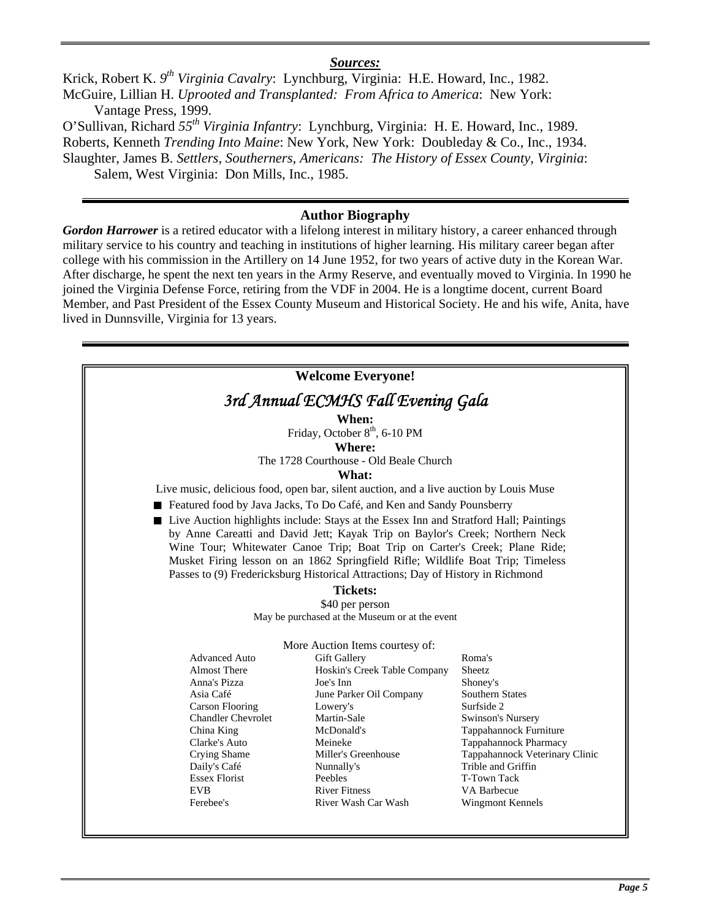#### *Sources:*

Krick, Robert K. *9th Virginia Cavalry*:Lynchburg, Virginia: H.E. Howard, Inc., 1982. McGuire, Lillian H. *Uprooted and Transplanted: From Africa to America*: New York: Vantage Press, 1999.

O'Sullivan, Richard *55th Virginia Infantry*: Lynchburg, Virginia: H. E. Howard, Inc., 1989. Roberts, Kenneth *Trending Into Maine*: New York, New York: Doubleday & Co., Inc., 1934. Slaughter, James B. *Settlers, Southerners, Americans: The History of Essex County, Virginia*:

Salem, West Virginia: Don Mills, Inc., 1985.

#### **Author Biography**

*Gordon Harrower* is a retired educator with a lifelong interest in military history, a career enhanced through military service to his country and teaching in institutions of higher learning. His military career began after college with his commission in the Artillery on 14 June 1952, for two years of active duty in the Korean War. After discharge, he spent the next ten years in the Army Reserve, and eventually moved to Virginia. In 1990 he joined the Virginia Defense Force, retiring from the VDF in 2004. He is a longtime docent, current Board Member, and Past President of the Essex County Museum and Historical Society. He and his wife, Anita, have lived in Dunnsville, Virginia for 13 years.